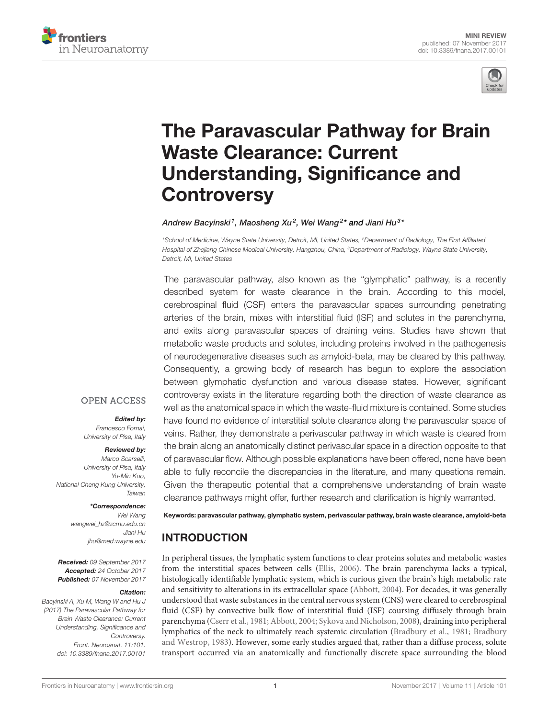



# [The Paravascular Pathway for Brain](https://www.frontiersin.org/articles/10.3389/fnana.2017.00101/full) [Waste Clearance: Current](https://www.frontiersin.org/articles/10.3389/fnana.2017.00101/full) [Understanding, Significance and](https://www.frontiersin.org/articles/10.3389/fnana.2017.00101/full) **[Controversy](https://www.frontiersin.org/articles/10.3389/fnana.2017.00101/full)**

#### Andrew Bacyinski<sup>1</sup>, Maosheng Xu<sup>2</sup>, [Wei Wang](https://loop.frontiersin.org/people/469770/overview)<sup>2</sup>\* and [Jiani Hu](https://loop.frontiersin.org/people/95760/overview)<sup>3</sup>\*

<sup>1</sup>School of Medicine, Wayne State University, Detroit, MI, United States, <sup>2</sup>Department of Radiology, The First Affiliated Hospital of Zhejiang Chinese Medical University, Hangzhou, China, <sup>3</sup>Department of Radiology, Wayne State University, Detroit, MI, United States

The paravascular pathway, also known as the "glymphatic" pathway, is a recently described system for waste clearance in the brain. According to this model, cerebrospinal fluid (CSF) enters the paravascular spaces surrounding penetrating arteries of the brain, mixes with interstitial fluid (ISF) and solutes in the parenchyma, and exits along paravascular spaces of draining veins. Studies have shown that metabolic waste products and solutes, including proteins involved in the pathogenesis of neurodegenerative diseases such as amyloid-beta, may be cleared by this pathway. Consequently, a growing body of research has begun to explore the association between glymphatic dysfunction and various disease states. However, significant controversy exists in the literature regarding both the direction of waste clearance as well as the anatomical space in which the waste-fluid mixture is contained. Some studies have found no evidence of interstitial solute clearance along the paravascular space of veins. Rather, they demonstrate a perivascular pathway in which waste is cleared from the brain along an anatomically distinct perivascular space in a direction opposite to that of paravascular flow. Although possible explanations have been offered, none have been able to fully reconcile the discrepancies in the literature, and many questions remain. Given the therapeutic potential that a comprehensive understanding of brain waste clearance pathways might offer, further research and clarification is highly warranted.

#### **OPEN ACCESS**

#### Edited by:

Francesco Fornai, University of Pisa, Italy

Reviewed by: Marco Scarselli, University of Pisa, Italy Yu-Min Kuo, National Cheng Kung University, Taiwan

#### \*Correspondence:

Wei Wang [wangwei\\_hz@zcmu.edu.cn](mailto:wangwei_hz@zcmu.edu.cn) Jiani Hu [jhu@med.wayne.edu](mailto:jhu@med.wayne.edu)

Received: 09 September 2017 Accepted: 24 October 2017 Published: 07 November 2017

#### Citation:

Bacyinski A, Xu M, Wang W and Hu J (2017) The Paravascular Pathway for Brain Waste Clearance: Current Understanding, Significance and Controversy. Front. Neuroanat. 11:101. [doi: 10.3389/fnana.2017.00101](https://doi.org/10.3389/fnana.2017.00101) Keywords: paravascular pathway, glymphatic system, perivascular pathway, brain waste clearance, amyloid-beta

### INTRODUCTION

In peripheral tissues, the lymphatic system functions to clear proteins solutes and metabolic wastes from the interstitial spaces between cells [\(Ellis,](#page-5-0) [2006\)](#page-5-0). The brain parenchyma lacks a typical, histologically identifiable lymphatic system, which is curious given the brain's high metabolic rate and sensitivity to alterations in its extracellular space [\(Abbott,](#page-5-1) [2004\)](#page-5-1). For decades, it was generally understood that waste substances in the central nervous system (CNS) were cleared to cerebrospinal fluid (CSF) by convective bulk flow of interstitial fluid (ISF) coursing diffusely through brain parenchyma [\(Cserr et al.,](#page-5-2) [1981;](#page-5-2) [Abbott,](#page-5-1) [2004;](#page-5-1) [Sykova and Nicholson,](#page-6-0) [2008\)](#page-6-0), draining into peripheral lymphatics of the neck to ultimately reach systemic circulation [\(Bradbury et al.,](#page-5-3) [1981;](#page-5-3) [Bradbury](#page-5-4) [and Westrop,](#page-5-4) [1983\)](#page-5-4). However, some early studies argued that, rather than a diffuse process, solute transport occurred via an anatomically and functionally discrete space surrounding the blood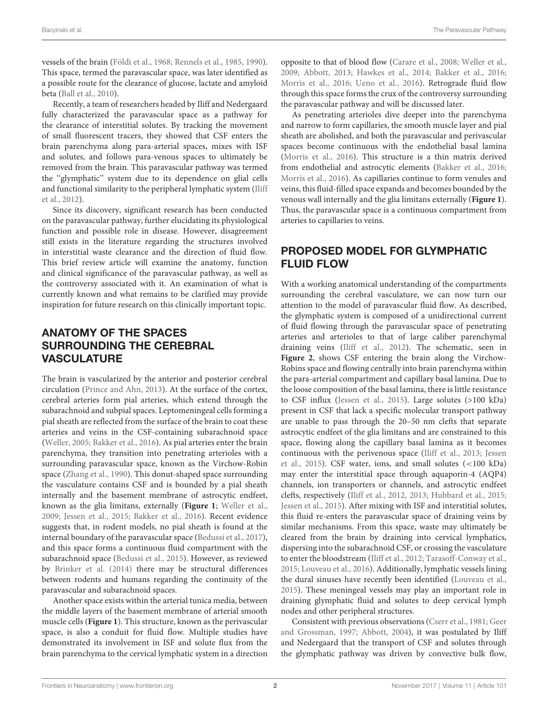vessels of the brain [\(Földi et al.,](#page-5-5) [1968;](#page-5-5) [Rennels et al.,](#page-6-1) [1985,](#page-6-1) [1990\)](#page-6-2). This space, termed the paravascular space, was later identified as a possible route for the clearance of glucose, lactate and amyloid beta [\(Ball et al.,](#page-5-6) [2010\)](#page-5-6).

Recently, a team of researchers headed by Iliff and Nedergaard fully characterized the paravascular space as a pathway for the clearance of interstitial solutes. By tracking the movement of small fluorescent tracers, they showed that CSF enters the brain parenchyma along para-arterial spaces, mixes with ISF and solutes, and follows para-venous spaces to ultimately be removed from the brain. This paravascular pathway was termed the ''glymphatic'' system due to its dependence on glial cells and functional similarity to the peripheral lymphatic system [\(Iliff](#page-5-7) [et al.,](#page-5-7) [2012\)](#page-5-7).

Since its discovery, significant research has been conducted on the paravascular pathway, further elucidating its physiological function and possible role in disease. However, disagreement still exists in the literature regarding the structures involved in interstitial waste clearance and the direction of fluid flow. This brief review article will examine the anatomy, function and clinical significance of the paravascular pathway, as well as the controversy associated with it. An examination of what is currently known and what remains to be clarified may provide inspiration for future research on this clinically important topic.

## ANATOMY OF THE SPACES SURROUNDING THE CEREBRAL VASCULATURE

The brain is vascularized by the anterior and posterior cerebral circulation [\(Prince and Ahn,](#page-6-3) [2013\)](#page-6-3). At the surface of the cortex, cerebral arteries form pial arteries, which extend through the subarachnoid and subpial spaces. Leptomeningeal cells forming a pial sheath are reflected from the surface of the brain to coat these arteries and veins in the CSF-containing subarachnoid space [\(Weller,](#page-6-4) [2005;](#page-6-4) [Bakker et al.,](#page-5-8) [2016\)](#page-5-8). As pial arteries enter the brain parenchyma, they transition into penetrating arterioles with a surrounding paravascular space, known as the Virchow-Robin space [\(Zhang et al.,](#page-7-0) [1990\)](#page-7-0). This donut-shaped space surrounding the vasculature contains CSF and is bounded by a pial sheath internally and the basement membrane of astrocytic endfeet, known as the glia limitans, externally (**[Figure 1](#page-2-0)**; [Weller et al.,](#page-6-5) [2009;](#page-6-5) [Jessen et al.,](#page-6-6) [2015;](#page-6-6) [Bakker et al.,](#page-5-8) [2016\)](#page-5-8). Recent evidence suggests that, in rodent models, no pial sheath is found at the internal boundary of the paravascular space [\(Bedussi et al.,](#page-5-9) [2017\)](#page-5-9), and this space forms a continuous fluid compartment with the subarachnoid space [\(Bedussi et al.,](#page-5-10) [2015\)](#page-5-10). However, as reviewed by [Brinker et al.](#page-5-11) [\(2014\)](#page-5-11) there may be structural differences between rodents and humans regarding the continuity of the paravascular and subarachnoid spaces.

Another space exists within the arterial tunica media, between the middle layers of the basement membrane of arterial smooth muscle cells (**[Figure 1](#page-2-0)**). This structure, known as the perivascular space, is also a conduit for fluid flow. Multiple studies have demonstrated its involvement in ISF and solute flux from the brain parenchyma to the cervical lymphatic system in a direction opposite to that of blood flow [\(Carare et al.,](#page-5-12) [2008;](#page-5-12) [Weller et al.,](#page-6-5) [2009;](#page-6-5) [Abbott,](#page-5-13) [2013;](#page-5-13) [Hawkes et al.,](#page-5-14) [2014;](#page-5-14) [Bakker et al.,](#page-5-8) [2016;](#page-5-8) [Morris et al.,](#page-6-7) [2016;](#page-6-7) [Ueno et al.,](#page-6-8) [2016\)](#page-6-8). Retrograde fluid flow through this space forms the crux of the controversy surrounding the paravascular pathway and will be discussed later.

As penetrating arterioles dive deeper into the parenchyma and narrow to form capillaries, the smooth muscle layer and pial sheath are abolished, and both the paravascular and perivascular spaces become continuous with the endothelial basal lamina [\(Morris et al.,](#page-6-7) [2016\)](#page-6-7). This structure is a thin matrix derived from endothelial and astrocytic elements [\(Bakker et al.,](#page-5-8) [2016;](#page-5-8) [Morris et al.,](#page-6-7) [2016\)](#page-6-7). As capillaries continue to form venules and veins, this fluid-filled space expands and becomes bounded by the venous wall internally and the glia limitans externally (**[Figure 1](#page-2-0)**). Thus, the paravascular space is a continuous compartment from arteries to capillaries to veins.

# PROPOSED MODEL FOR GLYMPHATIC FLUID FLOW

With a working anatomical understanding of the compartments surrounding the cerebral vasculature, we can now turn our attention to the model of paravascular fluid flow. As described, the glymphatic system is composed of a unidirectional current of fluid flowing through the paravascular space of penetrating arteries and arterioles to that of large caliber parenchymal draining veins [\(Iliff et al.,](#page-5-7) [2012\)](#page-5-7). The schematic, seen in **[Figure 2](#page-3-0)**, shows CSF entering the brain along the Virchow-Robins space and flowing centrally into brain parenchyma within the para-arterial compartment and capillary basal lamina. Due to the loose composition of the basal lamina, there is little resistance to CSF influx [\(Jessen et al.,](#page-6-6) [2015\)](#page-6-6). Large solutes (>100 kDa) present in CSF that lack a specific molecular transport pathway are unable to pass through the 20–50 nm clefts that separate astrocytic endfeet of the glia limitans and are constrained to this space, flowing along the capillary basal lamina as it becomes continuous with the perivenous space [\(Iliff et al.,](#page-5-15) [2013;](#page-5-15) [Jessen](#page-6-6) [et al.,](#page-6-6) [2015\)](#page-6-6). CSF water, ions, and small solutes (<100 kDa) may enter the interstitial space through aquaporin-4 (AQP4) channels, ion transporters or channels, and astrocytic endfeet clefts, respectively [\(Iliff et al.,](#page-5-7) [2012,](#page-5-7) [2013;](#page-5-15) [Hubbard et al.,](#page-5-16) [2015;](#page-5-16) [Jessen et al.,](#page-6-6) [2015\)](#page-6-6). After mixing with ISF and interstitial solutes, this fluid re-enters the paravascular space of draining veins by similar mechanisms. From this space, waste may ultimately be cleared from the brain by draining into cervical lymphatics, dispersing into the subarachnoid CSF, or crossing the vasculature to enter the bloodstream [\(Iliff et al.,](#page-5-7) [2012;](#page-5-7) [Tarasoff-Conway et al.,](#page-6-9) [2015;](#page-6-9) [Louveau et al.,](#page-6-10) [2016\)](#page-6-10). Additionally, lymphatic vessels lining the dural sinuses have recently been identified [\(Louveau et al.,](#page-6-11) [2015\)](#page-6-11). These meningeal vessels may play an important role in draining glymphatic fluid and solutes to deep cervical lymph nodes and other peripheral structures.

Consistent with previous observations [\(Cserr et al.,](#page-5-2) [1981;](#page-5-2) [Geer](#page-5-17) [and Grossman,](#page-5-17) [1997;](#page-5-17) [Abbott,](#page-5-1) [2004\)](#page-5-1), it was postulated by Iliff and Nedergaard that the transport of CSF and solutes through the glymphatic pathway was driven by convective bulk flow,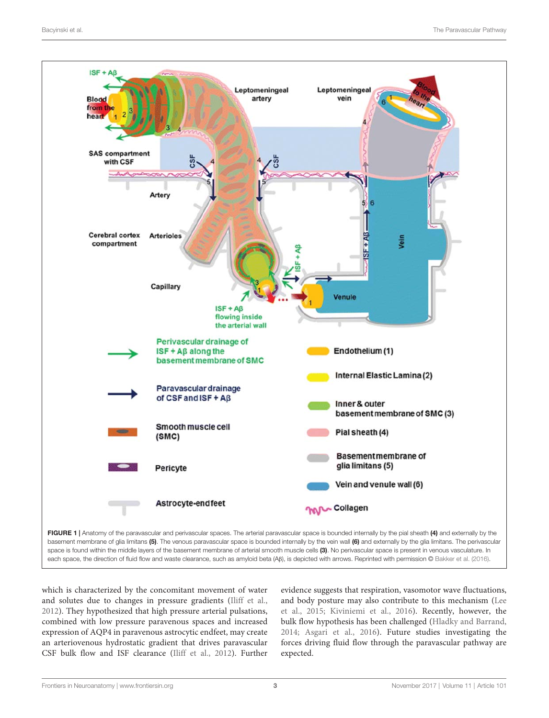

<span id="page-2-0"></span>which is characterized by the concomitant movement of water and solutes due to changes in pressure gradients [\(Iliff et al.,](#page-5-7) [2012\)](#page-5-7). They hypothesized that high pressure arterial pulsations, combined with low pressure paravenous spaces and increased expression of AQP4 in paravenous astrocytic endfeet, may create an arteriovenous hydrostatic gradient that drives paravascular CSF bulk flow and ISF clearance [\(Iliff et al.,](#page-5-7) [2012\)](#page-5-7). Further

evidence suggests that respiration, vasomotor wave fluctuations, and body posture may also contribute to this mechanism [\(Lee](#page-6-12) [et al.,](#page-6-12) [2015;](#page-6-12) [Kiviniemi et al.,](#page-6-13) [2016\)](#page-6-13). Recently, however, the bulk flow hypothesis has been challenged [\(Hladky and Barrand,](#page-5-18) [2014;](#page-5-18) [Asgari et al.,](#page-5-19) [2016\)](#page-5-19). Future studies investigating the forces driving fluid flow through the paravascular pathway are expected.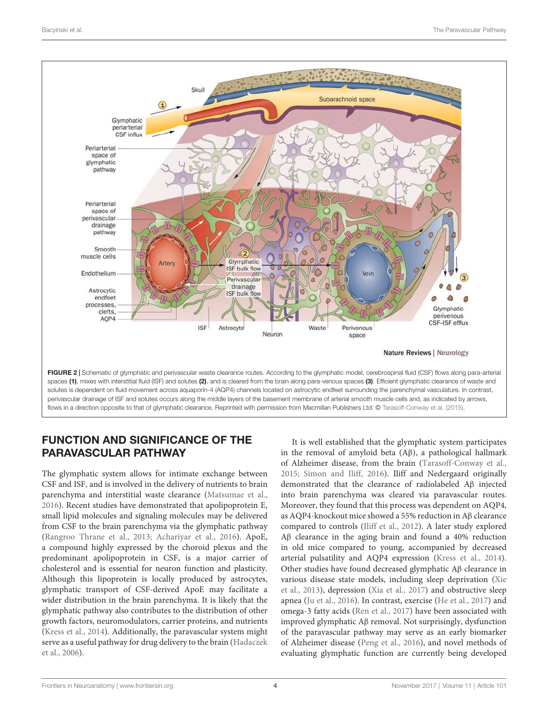

# <span id="page-3-0"></span>FUNCTION AND SIGNIFICANCE OF THE PARAVASCULAR PATHWAY

The glymphatic system allows for intimate exchange between CSF and ISF, and is involved in the delivery of nutrients to brain parenchyma and interstitial waste clearance [\(Matsumae et al.,](#page-6-14) [2016\)](#page-6-14). Recent studies have demonstrated that apolipoprotein E, small lipid molecules and signaling molecules may be delivered from CSF to the brain parenchyma via the glymphatic pathway [\(Rangroo Thrane et al.,](#page-6-15) [2013;](#page-6-15) [Achariyar et al.,](#page-5-20) [2016\)](#page-5-20). ApoE, a compound highly expressed by the choroid plexus and the predominant apolipoprotein in CSF, is a major carrier of cholesterol and is essential for neuron function and plasticity. Although this lipoprotein is locally produced by astrocytes, glymphatic transport of CSF-derived ApoE may facilitate a wider distribution in the brain parenchyma. It is likely that the glymphatic pathway also contributes to the distribution of other growth factors, neuromodulators, carrier proteins, and nutrients [\(Kress et al.,](#page-6-16) [2014\)](#page-6-16). Additionally, the paravascular system might serve as a useful pathway for drug delivery to the brain [\(Hadaczek](#page-5-21) [et al.,](#page-5-21) [2006\)](#page-5-21).

It is well established that the glymphatic system participates in the removal of amyloid beta (Aβ), a pathological hallmark of Alzheimer disease, from the brain [\(Tarasoff-Conway et al.,](#page-6-9) [2015;](#page-6-9) [Simon and Iliff,](#page-6-17) [2016\)](#page-6-17). Iliff and Nedergaard originally demonstrated that the clearance of radiolabeled Aβ injected into brain parenchyma was cleared via paravascular routes. Moreover, they found that this process was dependent on AQP4, as AQP4-knockout mice showed a 55% reduction in Aβ clearance compared to controls [\(Iliff et al.,](#page-5-7) [2012\)](#page-5-7). A later study explored Aβ clearance in the aging brain and found a 40% reduction in old mice compared to young, accompanied by decreased arterial pulsatility and AQP4 expression [\(Kress et al.,](#page-6-16) [2014\)](#page-6-16). Other studies have found decreased glymphatic Aβ clearance in various disease state models, including sleep deprivation [\(Xie](#page-7-1) [et al.,](#page-7-1) [2013\)](#page-7-1), depression [\(Xia et al.,](#page-6-18) [2017\)](#page-6-18) and obstructive sleep apnea [\(Ju et al.,](#page-6-19) [2016\)](#page-6-19). In contrast, exercise [\(He et al.,](#page-5-22) [2017\)](#page-5-22) and omega-3 fatty acids [\(Ren et al.,](#page-6-20) [2017\)](#page-6-20) have been associated with improved glymphatic Aβ removal. Not surprisingly, dysfunction of the paravascular pathway may serve as an early biomarker of Alzheimer disease [\(Peng et al.,](#page-6-21) [2016\)](#page-6-21), and novel methods of evaluating glymphatic function are currently being developed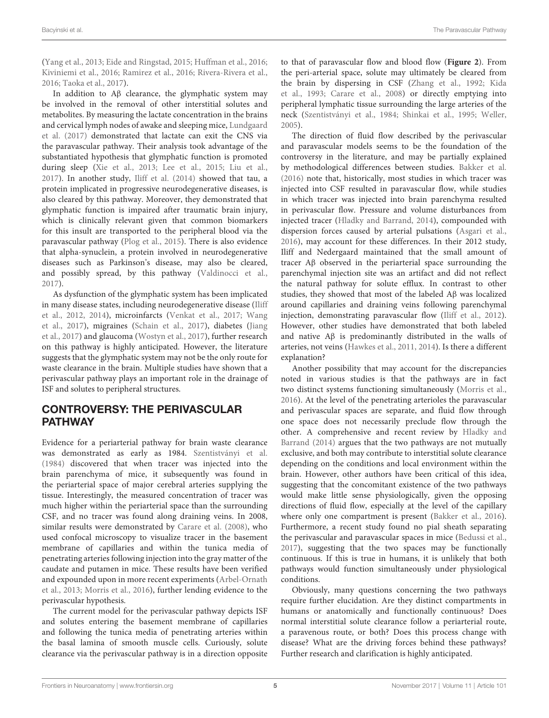[\(Yang et al.,](#page-7-2) [2013;](#page-7-2) [Eide and Ringstad,](#page-5-23) [2015;](#page-5-23) [Huffman et al.,](#page-5-24) [2016;](#page-5-24) [Kiviniemi et al.,](#page-6-13) [2016;](#page-6-13) [Ramirez et al.,](#page-6-22) [2016;](#page-6-22) [Rivera-Rivera et al.,](#page-6-23) [2016;](#page-6-23) [Taoka et al.,](#page-6-24) [2017\)](#page-6-24).

In addition to Aβ clearance, the glymphatic system may be involved in the removal of other interstitial solutes and metabolites. By measuring the lactate concentration in the brains and cervical lymph nodes of awake and sleeping mice, [Lundgaard](#page-6-25) [et al.](#page-6-25) [\(2017\)](#page-6-25) demonstrated that lactate can exit the CNS via the paravascular pathway. Their analysis took advantage of the substantiated hypothesis that glymphatic function is promoted during sleep [\(Xie et al.,](#page-7-1) [2013;](#page-7-1) [Lee et al.,](#page-6-12) [2015;](#page-6-12) [Liu et al.,](#page-6-26) [2017\)](#page-6-26). In another study, [Iliff et al.](#page-5-25) [\(2014\)](#page-5-25) showed that tau, a protein implicated in progressive neurodegenerative diseases, is also cleared by this pathway. Moreover, they demonstrated that glymphatic function is impaired after traumatic brain injury, which is clinically relevant given that common biomarkers for this insult are transported to the peripheral blood via the paravascular pathway [\(Plog et al.,](#page-6-27) [2015\)](#page-6-27). There is also evidence that alpha-synuclein, a protein involved in neurodegenerative diseases such as Parkinson's disease, may also be cleared, and possibly spread, by this pathway [\(Valdinocci et al.,](#page-6-28) [2017\)](#page-6-28).

As dysfunction of the glymphatic system has been implicated in many disease states, including neurodegenerative disease [\(Iliff](#page-5-7) [et al.,](#page-5-7) [2012,](#page-5-7) [2014\)](#page-5-25), microinfarcts [\(Venkat et al.,](#page-6-29) [2017;](#page-6-29) [Wang](#page-6-30) [et al.,](#page-6-30) [2017\)](#page-6-30), migraines [\(Schain et al.,](#page-6-31) [2017\)](#page-6-31), diabetes [\(Jiang](#page-6-32) [et al.,](#page-6-32) [2017\)](#page-6-32) and glaucoma [\(Wostyn et al.,](#page-6-33) [2017\)](#page-6-33), further research on this pathway is highly anticipated. However, the literature suggests that the glymphatic system may not be the only route for waste clearance in the brain. Multiple studies have shown that a perivascular pathway plays an important role in the drainage of ISF and solutes to peripheral structures.

### CONTROVERSY: THE PERIVASCULAR PATHWAY

Evidence for a periarterial pathway for brain waste clearance was demonstrated as early as 1984. [Szentistványi et al.](#page-6-34) [\(1984\)](#page-6-34) discovered that when tracer was injected into the brain parenchyma of mice, it subsequently was found in the periarterial space of major cerebral arteries supplying the tissue. Interestingly, the measured concentration of tracer was much higher within the periarterial space than the surrounding CSF, and no tracer was found along draining veins. In 2008, similar results were demonstrated by [Carare et al.](#page-5-12) [\(2008\)](#page-5-12), who used confocal microscopy to visualize tracer in the basement membrane of capillaries and within the tunica media of penetrating arteries following injection into the gray matter of the caudate and putamen in mice. These results have been verified and expounded upon in more recent experiments [\(Arbel-Ornath](#page-5-26) [et al.,](#page-5-26) [2013;](#page-5-26) [Morris et al.,](#page-6-7) [2016\)](#page-6-7), further lending evidence to the perivascular hypothesis.

The current model for the perivascular pathway depicts ISF and solutes entering the basement membrane of capillaries and following the tunica media of penetrating arteries within the basal lamina of smooth muscle cells. Curiously, solute clearance via the perivascular pathway is in a direction opposite to that of paravascular flow and blood flow (**[Figure 2](#page-3-0)**). From the peri-arterial space, solute may ultimately be cleared from the brain by dispersing in CSF [\(Zhang et al.,](#page-7-3) [1992;](#page-7-3) [Kida](#page-6-35) [et al.,](#page-6-35) [1993;](#page-6-35) [Carare et al.,](#page-5-12) [2008\)](#page-5-12) or directly emptying into peripheral lymphatic tissue surrounding the large arteries of the neck [\(Szentistványi et al.,](#page-6-34) [1984;](#page-6-34) [Shinkai et al.,](#page-6-36) [1995;](#page-6-36) [Weller,](#page-6-4) [2005\)](#page-6-4).

The direction of fluid flow described by the perivascular and paravascular models seems to be the foundation of the controversy in the literature, and may be partially explained by methodological differences between studies. [Bakker et al.](#page-5-8) [\(2016\)](#page-5-8) note that, historically, most studies in which tracer was injected into CSF resulted in paravascular flow, while studies in which tracer was injected into brain parenchyma resulted in perivascular flow. Pressure and volume disturbances from injected tracer [\(Hladky and Barrand,](#page-5-18) [2014\)](#page-5-18), compounded with dispersion forces caused by arterial pulsations [\(Asgari et al.,](#page-5-19) [2016\)](#page-5-19), may account for these differences. In their 2012 study, Iliff and Nedergaard maintained that the small amount of tracer Aβ observed in the periarterial space surrounding the parenchymal injection site was an artifact and did not reflect the natural pathway for solute efflux. In contrast to other studies, they showed that most of the labeled Aβ was localized around capillaries and draining veins following parenchymal injection, demonstrating paravascular flow [\(Iliff et al.,](#page-5-7) [2012\)](#page-5-7). However, other studies have demonstrated that both labeled and native Aβ is predominantly distributed in the walls of arteries, not veins [\(Hawkes et al.,](#page-5-27) [2011,](#page-5-27) [2014\)](#page-5-14). Is there a different explanation?

Another possibility that may account for the discrepancies noted in various studies is that the pathways are in fact two distinct systems functioning simultaneously [\(Morris et al.,](#page-6-7) [2016\)](#page-6-7). At the level of the penetrating arterioles the paravascular and perivascular spaces are separate, and fluid flow through one space does not necessarily preclude flow through the other. A comprehensive and recent review by [Hladky and](#page-5-18) [Barrand](#page-5-18) [\(2014\)](#page-5-18) argues that the two pathways are not mutually exclusive, and both may contribute to interstitial solute clearance depending on the conditions and local environment within the brain. However, other authors have been critical of this idea, suggesting that the concomitant existence of the two pathways would make little sense physiologically, given the opposing directions of fluid flow, especially at the level of the capillary where only one compartment is present [\(Bakker et al.,](#page-5-8) [2016\)](#page-5-8). Furthermore, a recent study found no pial sheath separating the perivascular and paravascular spaces in mice [\(Bedussi et al.,](#page-5-9) [2017\)](#page-5-9), suggesting that the two spaces may be functionally continuous. If this is true in humans, it is unlikely that both pathways would function simultaneously under physiological conditions.

Obviously, many questions concerning the two pathways require further elucidation. Are they distinct compartments in humans or anatomically and functionally continuous? Does normal interstitial solute clearance follow a periarterial route, a paravenous route, or both? Does this process change with disease? What are the driving forces behind these pathways? Further research and clarification is highly anticipated.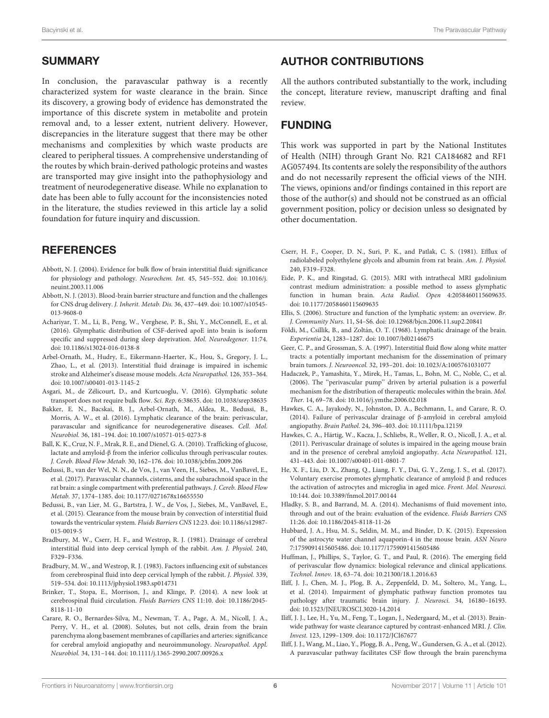### **SUMMARY**

In conclusion, the paravascular pathway is a recently characterized system for waste clearance in the brain. Since its discovery, a growing body of evidence has demonstrated the importance of this discrete system in metabolite and protein removal and, to a lesser extent, nutrient delivery. However, discrepancies in the literature suggest that there may be other mechanisms and complexities by which waste products are cleared to peripheral tissues. A comprehensive understanding of the routes by which brain-derived pathologic proteins and wastes are transported may give insight into the pathophysiology and treatment of neurodegenerative disease. While no explanation to date has been able to fully account for the inconsistencies noted in the literature, the studies reviewed in this article lay a solid foundation for future inquiry and discussion.

## **REFERENCES**

- <span id="page-5-1"></span>Abbott, N. J. (2004). Evidence for bulk flow of brain interstitial fluid: significance for physiology and pathology. Neurochem. Int. 45, 545–552. [doi: 10.1016/j.](https://doi.org/10.1016/j.neuint.2003.11.006) [neuint.2003.11.006](https://doi.org/10.1016/j.neuint.2003.11.006)
- <span id="page-5-13"></span>Abbott, N. J. (2013). Blood-brain barrier structure and function and the challenges for CNS drug delivery. J. Inherit. Metab. Dis. 36, 437–449. [doi: 10.1007/s10545-](https://doi.org/10.1007/s10545-013-9608-0) [013-9608-0](https://doi.org/10.1007/s10545-013-9608-0)
- <span id="page-5-20"></span>Achariyar, T. M., Li, B., Peng, W., Verghese, P. B., Shi, Y., McConnell, E., et al. (2016). Glymphatic distribution of CSF-derived apoE into brain is isoform specific and suppressed during sleep deprivation. Mol. Neurodegener. 11:74. [doi: 10.1186/s13024-016-0138-8](https://doi.org/10.1186/s13024-016-0138-8)
- <span id="page-5-26"></span>Arbel-Ornath, M., Hudry, E., Eikermann-Haerter, K., Hou, S., Gregory, J. L., Zhao, L., et al. (2013). Interstitial fluid drainage is impaired in ischemic stroke and Alzheimer's disease mouse models. Acta Neuropathol. 126, 353–364. [doi: 10.1007/s00401-013-1145-2](https://doi.org/10.1007/s00401-013-1145-2)
- <span id="page-5-19"></span>Asgari, M., de Zélicourt, D., and Kurtcuoglu, V. (2016). Glymphatic solute transport does not require bulk flow. Sci. Rep. 6:38635. [doi: 10.1038/srep38635](https://doi.org/10.1038/srep38635)
- <span id="page-5-8"></span>Bakker, E. N., Bacskai, B. J., Arbel-Ornath, M., Aldea, R., Bedussi, B., Morris, A. W., et al. (2016). Lymphatic clearance of the brain: perivascular, paravascular and significance for neurodegenerative diseases. Cell. Mol. Neurobiol. 36, 181–194. [doi: 10.1007/s10571-015-0273-8](https://doi.org/10.1007/s10571-015-0273-8)
- <span id="page-5-6"></span>Ball, K. K., Cruz, N. F., Mrak, R. E., and Dienel, G. A. (2010). Trafficking of glucose, lactate and amyloid-β from the inferior colliculus through perivascular routes. J. Cereb. Blood Flow Metab. 30, 162–176. [doi: 10.1038/jcbfm.2009.206](https://doi.org/10.1038/jcbfm.2009.206)
- <span id="page-5-9"></span>Bedussi, B., van der Wel, N. N., de Vos, J., van Veen, H., Siebes, M., VanBavel, E., et al. (2017). Paravascular channels, cisterns, and the subarachnoid space in the rat brain: a single compartment with preferential pathways. J. Cereb. Blood Flow Metab. 37, 1374–1385. [doi: 10.1177/0271678x16655550](https://doi.org/10.1177/0271678x16655550)
- <span id="page-5-10"></span>Bedussi, B., van Lier, M. G., Bartstra, J. W., de Vos, J., Siebes, M., VanBavel, E., et al. (2015). Clearance from the mouse brain by convection of interstitial fluid towards the ventricular system. Fluids Barriers CNS 12:23. [doi: 10.1186/s12987-](https://doi.org/10.1186/s12987-015-0019-5) [015-0019-5](https://doi.org/10.1186/s12987-015-0019-5)
- <span id="page-5-3"></span>Bradbury, M. W., Cserr, H. F., and Westrop, R. J. (1981). Drainage of cerebral interstitial fluid into deep cervical lymph of the rabbit. Am. J. Physiol. 240, F329–F336.
- <span id="page-5-4"></span>Bradbury, M. W., and Westrop, R. J. (1983). Factors influencing exit of substances from cerebrospinal fluid into deep cervical lymph of the rabbit. J. Physiol. 339, 519–534. [doi: 10.1113/jphysiol.1983.sp014731](https://doi.org/10.1113/jphysiol.1983.sp014731)
- <span id="page-5-11"></span>Brinker, T., Stopa, E., Morrison, J., and Klinge, P. (2014). A new look at cerebrospinal fluid circulation. Fluids Barriers CNS 11:10. [doi: 10.1186/2045-](https://doi.org/10.1186/2045-8118-11-10) [8118-11-10](https://doi.org/10.1186/2045-8118-11-10)
- <span id="page-5-12"></span>Carare, R. O., Bernardes-Silva, M., Newman, T. A., Page, A. M., Nicoll, J. A., Perry, V. H., et al. (2008). Solutes, but not cells, drain from the brain parenchyma along basement membranes of capillaries and arteries: significance for cerebral amyloid angiopathy and neuroimmunology. Neuropathol. Appl. Neurobiol. 34, 131–144. [doi: 10.1111/j.1365-2990.2007.00926.x](https://doi.org/10.1111/j.1365-2990.2007.00926.x)

#### AUTHOR CONTRIBUTIONS

All the authors contributed substantially to the work, including the concept, literature review, manuscript drafting and final review.

### FUNDING

This work was supported in part by the National Institutes of Health (NIH) through Grant No. R21 CA184682 and RF1 AG057494. Its contents are solely the responsibility of the authors and do not necessarily represent the official views of the NIH. The views, opinions and/or findings contained in this report are those of the author(s) and should not be construed as an official government position, policy or decision unless so designated by other documentation.

- <span id="page-5-2"></span>Cserr, H. F., Cooper, D. N., Suri, P. K., and Patlak, C. S. (1981). Efflux of radiolabeled polyethylene glycols and albumin from rat brain. Am. J. Physiol. 240, F319–F328.
- <span id="page-5-23"></span>Eide, P. K., and Ringstad, G. (2015). MRI with intrathecal MRI gadolinium contrast medium administration: a possible method to assess glymphatic function in human brain. Acta Radiol. Open 4:2058460115609635. [doi: 10.1177/2058460115609635](https://doi.org/10.1177/2058460115609635)
- <span id="page-5-0"></span>Ellis, S. (2006). Structure and function of the lymphatic system: an overview. Br. J. Community Nurs. 11, S4–S6. [doi: 10.12968/bjcn.2006.11.sup2.20841](https://doi.org/10.12968/bjcn.2006.11.sup2.20841)
- <span id="page-5-5"></span>Földi, M., Csillik, B., and Zoltán, O. T. (1968). Lymphatic drainage of the brain. Experientia 24, 1283–1287. [doi: 10.1007/bf02146675](https://doi.org/10.1007/bf02146675)
- <span id="page-5-17"></span>Geer, C. P., and Grossman, S. A. (1997). Interstitial fluid flow along white matter tracts: a potentially important mechanism for the dissemination of primary brain tumors. J. Neurooncol. 32, 193–201. [doi: 10.1023/A:1005761031077](https://doi.org/10.1023/A:1005761031077)
- <span id="page-5-21"></span>Hadaczek, P., Yamashita, Y., Mirek, H., Tamas, L., Bohn, M. C., Noble, C., et al. (2006). The ''perivascular pump'' driven by arterial pulsation is a powerful mechanism for the distribution of therapeutic molecules within the brain. Mol. Ther. 14, 69–78. [doi: 10.1016/j.ymthe.2006.02.018](https://doi.org/10.1016/j.ymthe.2006.02.018)
- <span id="page-5-14"></span>Hawkes, C. A., Jayakody, N., Johnston, D. A., Bechmann, I., and Carare, R. O. (2014). Failure of perivascular drainage of β-amyloid in cerebral amyloid angiopathy. Brain Pathol. 24, 396–403. [doi: 10.1111/bpa.12159](https://doi.org/10.1111/bpa.12159)
- <span id="page-5-27"></span>Hawkes, C. A., Härtig, W., Kacza, J., Schliebs, R., Weller, R. O., Nicoll, J. A., et al. (2011). Perivascular drainage of solutes is impaired in the ageing mouse brain and in the presence of cerebral amyloid angiopathy. Acta Neuropathol. 121, 431–443. [doi: 10.1007/s00401-011-0801-7](https://doi.org/10.1007/s00401-011-0801-7)
- <span id="page-5-22"></span>He, X. F., Liu, D. X., Zhang, Q., Liang, F. Y., Dai, G. Y., Zeng, J. S., et al. (2017). Voluntary exercise promotes glymphatic clearance of amyloid β and reduces the activation of astrocytes and microglia in aged mice. Front. Mol. Neurosci. 10:144. [doi: 10.3389/fnmol.2017.00144](https://doi.org/10.3389/fnmol.2017.00144)
- <span id="page-5-18"></span>Hladky, S. B., and Barrand, M. A. (2014). Mechanisms of fluid movement into, through and out of the brain: evaluation of the evidence. Fluids Barriers CNS 11:26. [doi: 10.1186/2045-8118-11-26](https://doi.org/10.1186/2045-8118-11-26)
- <span id="page-5-16"></span>Hubbard, J. A., Hsu, M. S., Seldin, M. M., and Binder, D. K. (2015). Expression of the astrocyte water channel aquaporin-4 in the mouse brain. ASN Neuro 7:1759091415605486. [doi: 10.1177/1759091415605486](https://doi.org/10.1177/1759091415605486)
- <span id="page-5-24"></span>Huffman, J., Phillips, S., Taylor, G. T., and Paul, R. (2016). The emerging field of perivascular flow dynamics: biological relevance and clinical applications. Technol. Innov. 18, 63–74. [doi: 10.21300/18.1.2016.63](https://doi.org/10.21300/18.1.2016.63)
- <span id="page-5-25"></span>Iliff, J. J., Chen, M. J., Plog, B. A., Zeppenfeld, D. M., Soltero, M., Yang, L., et al. (2014). Impairment of glymphatic pathway function promotes tau pathology after traumatic brain injury. J. Neurosci. 34, 16180–16193. [doi: 10.1523/JNEUROSCI.3020-14.2014](https://doi.org/10.1523/JNEUROSCI.3020-14.2014)
- <span id="page-5-15"></span>Iliff, J. J., Lee, H., Yu, M., Feng, T., Logan, J., Nedergaard, M., et al. (2013). Brainwide pathway for waste clearance captured by contrast-enhanced MRI. J. Clin. Invest. 123, 1299–1309. [doi: 10.1172/JCI67677](https://doi.org/10.1172/JCI67677)
- <span id="page-5-7"></span>Iliff, J. J., Wang, M., Liao, Y., Plogg, B. A., Peng, W., Gundersen, G. A., et al. (2012). A paravascular pathway facilitates CSF flow through the brain parenchyma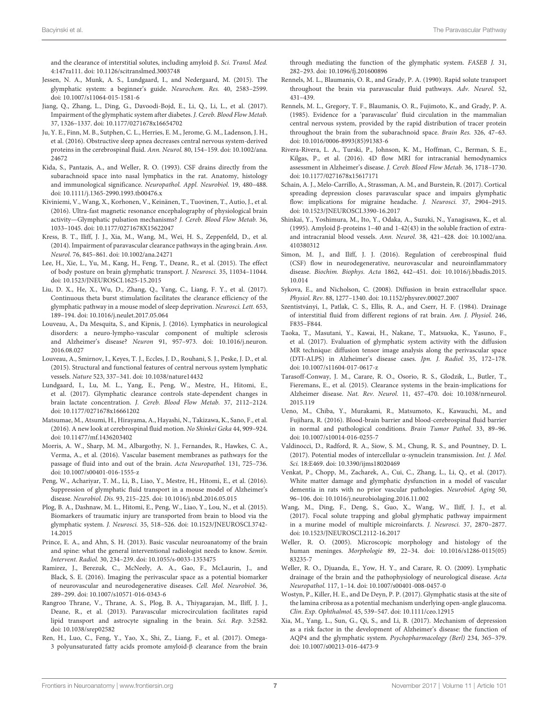and the clearance of interstitial solutes, including amyloid β. Sci. Transl. Med. 4:147ra111. [doi: 10.1126/scitranslmed.3003748](https://doi.org/10.1126/scitranslmed.3003748)

- <span id="page-6-6"></span>Jessen, N. A., Munk, A. S., Lundgaard, I., and Nedergaard, M. (2015). The glymphatic system: a beginner's guide. Neurochem. Res. 40, 2583–2599. [doi: 10.1007/s11064-015-1581-6](https://doi.org/10.1007/s11064-015-1581-6)
- <span id="page-6-32"></span>Jiang, Q., Zhang, L., Ding, G., Davoodi-Bojd, E., Li, Q., Li, L., et al. (2017). Impairment of the glymphatic system after diabetes. J. Cereb. Blood Flow Metab. 37, 1326–1337. [doi: 10.1177/0271678x16654702](https://doi.org/10.1177/0271678x16654702)
- <span id="page-6-19"></span>Ju, Y. E., Finn, M. B., Sutphen, C. L., Herries, E. M., Jerome, G. M., Ladenson, J. H., et al. (2016). Obstructive sleep apnea decreases central nervous system-derived proteins in the cerebrospinal fluid. Ann. Neurol. 80, 154–159. [doi: 10.1002/ana.](https://doi.org/10.1002/ana.24672) [24672](https://doi.org/10.1002/ana.24672)
- <span id="page-6-35"></span>Kida, S., Pantazis, A., and Weller, R. O. (1993). CSF drains directly from the subarachnoid space into nasal lymphatics in the rat. Anatomy, histology and immunological significance. Neuropathol. Appl. Neurobiol. 19, 480–488. [doi: 10.1111/j.1365-2990.1993.tb00476.x](https://doi.org/10.1111/j.1365-2990.1993.tb00476.x)
- <span id="page-6-13"></span>Kiviniemi, V., Wang, X., Korhonen, V., Keinänen, T., Tuovinen, T., Autio, J., et al. (2016). Ultra-fast magnetic resonance encephalography of physiological brain activity—Glymphatic pulsation mechanisms? J. Cereb. Blood Flow Metab. 36, 1033–1045. [doi: 10.1177/0271678X15622047](https://doi.org/10.1177/0271678X15622047)
- <span id="page-6-16"></span>Kress, B. T., Iliff, J. J., Xia, M., Wang, M., Wei, H. S., Zeppenfeld, D., et al. (2014). Impairment of paravascular clearance pathways in the aging brain. Ann. Neurol. 76, 845–861. [doi: 10.1002/ana.24271](https://doi.org/10.1002/ana.24271)
- <span id="page-6-12"></span>Lee, H., Xie, L., Yu, M., Kang, H., Feng, T., Deane, R., et al. (2015). The effect of body posture on brain glymphatic transport. J. Neurosci. 35, 11034–11044. [doi: 10.1523/JNEUROSCI.1625-15.2015](https://doi.org/10.1523/JNEUROSCI.1625-15.2015)
- <span id="page-6-26"></span>Liu, D. X., He, X., Wu, D., Zhang, Q., Yang, C., Liang, F. Y., et al. (2017). Continuous theta burst stimulation facilitates the clearance efficiency of the glymphatic pathway in a mouse model of sleep deprivation. Neurosci. Lett. 653, 189–194. [doi: 10.1016/j.neulet.2017.05.064](https://doi.org/10.1016/j.neulet.2017.05.064)
- <span id="page-6-10"></span>Louveau, A., Da Mesquita, S., and Kipnis, J. (2016). Lymphatics in neurological disorders: a neuro-lympho-vascular component of multiple sclerosis and Alzheimer's disease? Neuron 91, 957–973. [doi: 10.1016/j.neuron.](https://doi.org/10.1016/j.neuron.2016.08.027) [2016.08.027](https://doi.org/10.1016/j.neuron.2016.08.027)
- <span id="page-6-11"></span>Louveau, A., Smirnov, I., Keyes, T. J., Eccles, J. D., Rouhani, S. J., Peske, J. D., et al. (2015). Structural and functional features of central nervous system lymphatic vessels. Nature 523, 337–341. [doi: 10.1038/nature14432](https://doi.org/10.1038/nature14432)
- <span id="page-6-25"></span>Lundgaard, I., Lu, M. L., Yang, E., Peng, W., Mestre, H., Hitomi, E., et al. (2017). Glymphatic clearance controls state-dependent changes in brain lactate concentration. J. Cereb. Blood Flow Metab. 37, 2112–2124. [doi: 10.1177/0271678x16661202](https://doi.org/10.1177/0271678x16661202)
- <span id="page-6-14"></span>Matsumae, M., Atsumi, H., Hirayama, A., Hayashi, N., Takizawa, K., Sano, F., et al. (2016). A new look at cerebrospinal fluid motion. No Shinkei Geka 44, 909–924. [doi: 10.11477/mf.1436203402](https://doi.org/10.11477/mf.1436203402)
- <span id="page-6-7"></span>Morris, A. W., Sharp, M. M., Albargothy, N. J., Fernandes, R., Hawkes, C. A., Verma, A., et al. (2016). Vascular basement membranes as pathways for the passage of fluid into and out of the brain. Acta Neuropathol. 131, 725–736. [doi: 10.1007/s00401-016-1555-z](https://doi.org/10.1007/s00401-016-1555-z)
- <span id="page-6-21"></span>Peng, W., Achariyar, T. M., Li, B., Liao, Y., Mestre, H., Hitomi, E., et al. (2016). Suppression of glymphatic fluid transport in a mouse model of Alzheimer's disease. Neurobiol. Dis. 93, 215–225. [doi: 10.1016/j.nbd.2016.05.015](https://doi.org/10.1016/j.nbd.2016.05.015)
- <span id="page-6-27"></span>Plog, B. A., Dashnaw, M. L., Hitomi, E., Peng, W., Liao, Y., Lou, N., et al. (2015). Biomarkers of traumatic injury are transported from brain to blood via the glymphatic system. J. Neurosci. 35, 518–526. [doi: 10.1523/JNEUROSCI.3742-](https://doi.org/10.1523/JNEUROSCI.3742-14.2015) [14.2015](https://doi.org/10.1523/JNEUROSCI.3742-14.2015)
- <span id="page-6-3"></span>Prince, E. A., and Ahn, S. H. (2013). Basic vascular neuroanatomy of the brain and spine: what the general interventional radiologist needs to know. Semin. Intervent. Radiol. 30, 234–239. [doi: 10.1055/s-0033-1353475](https://doi.org/10.1055/s-0033-1353475)
- <span id="page-6-22"></span>Ramirez, J., Berezuk, C., McNeely, A. A., Gao, F., McLaurin, J., and Black, S. E. (2016). Imaging the perivascular space as a potential biomarker of neurovascular and neurodegenerative diseases. Cell. Mol. Neurobiol. 36, 289–299. [doi: 10.1007/s10571-016-0343-6](https://doi.org/10.1007/s10571-016-0343-6)
- <span id="page-6-15"></span>Rangroo Thrane, V., Thrane, A. S., Plog, B. A., Thiyagarajan, M., Iliff, J. J., Deane, R., et al. (2013). Paravascular microcirculation facilitates rapid lipid transport and astrocyte signaling in the brain. Sci. Rep. 3:2582. [doi: 10.1038/srep02582](https://doi.org/10.1038/srep02582)
- <span id="page-6-20"></span>Ren, H., Luo, C., Feng, Y., Yao, X., Shi, Z., Liang, F., et al. (2017). Omega-3 polyunsaturated fatty acids promote amyloid-β clearance from the brain

through mediating the function of the glymphatic system. FASEB J. 31, 282–293. [doi: 10.1096/fj.201600896](https://doi.org/10.1096/fj.201600896)

- <span id="page-6-2"></span>Rennels, M. L., Blaumanis, O. R., and Grady, P. A. (1990). Rapid solute transport throughout the brain via paravascular fluid pathways. Adv. Neurol. 52, 431–439.
- <span id="page-6-1"></span>Rennels, M. L., Gregory, T. F., Blaumanis, O. R., Fujimoto, K., and Grady, P. A. (1985). Evidence for a 'paravascular' fluid circulation in the mammalian central nervous system, provided by the rapid distribution of tracer protein throughout the brain from the subarachnoid space. Brain Res. 326, 47–63. [doi: 10.1016/0006-8993\(85\)91383-6](https://doi.org/10.1016/0006-8993(85)91383-6)
- <span id="page-6-23"></span>Rivera-Rivera, L. A., Turski, P., Johnson, K. M., Hoffman, C., Berman, S. E., Kilgas, P., et al. (2016). 4D flow MRI for intracranial hemodynamics assessment in Alzheimer's disease. J. Cereb. Blood Flow Metab. 36, 1718–1730. [doi: 10.1177/0271678x15617171](https://doi.org/10.1177/0271678x15617171)
- <span id="page-6-31"></span>Schain, A. J., Melo-Carrillo, A., Strassman, A. M., and Burstein, R. (2017). Cortical spreading depression closes paravascular space and impairs glymphatic flow: implications for migraine headache. J. Neurosci. 37, 2904–2915. [doi: 10.1523/JNEUROSCI.3390-16.2017](https://doi.org/10.1523/JNEUROSCI.3390-16.2017)
- <span id="page-6-36"></span>Shinkai, Y., Yoshimura, M., Ito, Y., Odaka, A., Suzuki, N., Yanagisawa, K., et al. (1995). Amyloid β-proteins 1–40 and 1-42(43) in the soluble fraction of extraand intracranial blood vessels. Ann. Neurol. 38, 421–428. [doi: 10.1002/ana.](https://doi.org/10.1002/ana.410380312) [410380312](https://doi.org/10.1002/ana.410380312)
- <span id="page-6-17"></span>Simon, M. J., and Iliff, J. J. (2016). Regulation of cerebrospinal fluid (CSF) flow in neurodegenerative, neurovascular and neuroinflammatory disease. Biochim. Biophys. Acta 1862, 442–451. [doi: 10.1016/j.bbadis.2015.](https://doi.org/10.1016/j.bbadis.2015.10.014) [10.014](https://doi.org/10.1016/j.bbadis.2015.10.014)
- <span id="page-6-0"></span>Sykova, E., and Nicholson, C. (2008). Diffusion in brain extracellular space. Physiol. Rev. 88, 1277–1340. [doi: 10.1152/physrev.00027.2007](https://doi.org/10.1152/physrev.00027.2007)
- <span id="page-6-34"></span>Szentistványi, I., Patlak, C. S., Ellis, R. A., and Cserr, H. F. (1984). Drainage of interstitial fluid from different regions of rat brain. Am. J. Physiol. 246, F835–F844.
- <span id="page-6-24"></span>Taoka, T., Masutani, Y., Kawai, H., Nakane, T., Matsuoka, K., Yasuno, F., et al. (2017). Evaluation of glymphatic system activity with the diffusion MR technique: diffusion tensor image analysis along the perivascular space (DTI-ALPS) in Alzheimer's disease cases. Jpn. J. Radiol. 35, 172–178. [doi: 10.1007/s11604-017-0617-z](https://doi.org/10.1007/s11604-017-0617-z)
- <span id="page-6-9"></span>Tarasoff-Conway, J. M., Carare, R. O., Osorio, R. S., Glodzik, L., Butler, T., Fieremans, E., et al. (2015). Clearance systems in the brain-implications for Alzheimer disease. Nat. Rev. Neurol. 11, 457–470. [doi: 10.1038/nrneurol.](https://doi.org/10.1038/nrneurol.2015.119) [2015.119](https://doi.org/10.1038/nrneurol.2015.119)
- <span id="page-6-8"></span>Ueno, M., Chiba, Y., Murakami, R., Matsumoto, K., Kawauchi, M., and Fujihara, R. (2016). Blood-brain barrier and blood-cerebrospinal fluid barrier in normal and pathological conditions. Brain Tumor Pathol. 33, 89–96. [doi: 10.1007/s10014-016-0255-7](https://doi.org/10.1007/s10014-016-0255-7)
- <span id="page-6-28"></span>Valdinocci, D., Radford, R. A., Siow, S. M., Chung, R. S., and Pountney, D. L. (2017). Potential modes of intercellular α-synuclein transmission. Int. J. Mol. Sci. 18:E469. [doi: 10.3390/ijms18020469](https://doi.org/10.3390/ijms18020469)
- <span id="page-6-29"></span>Venkat, P., Chopp, M., Zacharek, A., Cui, C., Zhang, L., Li, Q., et al. (2017). White matter damage and glymphatic dysfunction in a model of vascular dementia in rats with no prior vascular pathologies. Neurobiol. Aging 50, 96–106. [doi: 10.1016/j.neurobiolaging.2016.11.002](https://doi.org/10.1016/j.neurobiolaging.2016.11.002)
- <span id="page-6-30"></span>Wang, M., Ding, F., Deng, S., Guo, X., Wang, W., Iliff, J. J., et al. (2017). Focal solute trapping and global glymphatic pathway impairment in a murine model of multiple microinfarcts. J. Neurosci. 37, 2870–2877. [doi: 10.1523/JNEUROSCI.2112-16.2017](https://doi.org/10.1523/JNEUROSCI.2112-16.2017)
- <span id="page-6-4"></span>Weller, R. O. (2005). Microscopic morphology and histology of the human meninges. Morphologie 89, 22–34. [doi: 10.1016/s1286-0115\(05\)](https://doi.org/10.1016/s1286-0115(05)83235-7) [83235-7](https://doi.org/10.1016/s1286-0115(05)83235-7)
- <span id="page-6-5"></span>Weller, R. O., Djuanda, E., Yow, H. Y., and Carare, R. O. (2009). Lymphatic drainage of the brain and the pathophysiology of neurological disease. Acta Neuropathol. 117, 1–14. [doi: 10.1007/s00401-008-0457-0](https://doi.org/10.1007/s00401-008-0457-0)
- <span id="page-6-33"></span>Wostyn, P., Killer, H. E., and De Deyn, P. P. (2017). Glymphatic stasis at the site of the lamina cribrosa as a potential mechanism underlying open-angle glaucoma. Clin. Exp. Ophthalmol. 45, 539–547. [doi: 10.1111/ceo.12915](https://doi.org/10.1111/ceo.12915)
- <span id="page-6-18"></span>Xia, M., Yang, L., Sun, G., Qi, S., and Li, B. (2017). Mechanism of depression as a risk factor in the development of Alzheimer's disease: the function of AQP4 and the glymphatic system. Psychopharmacology (Berl) 234, 365–379. [doi: 10.1007/s00213-016-4473-9](https://doi.org/10.1007/s00213-016-4473-9)